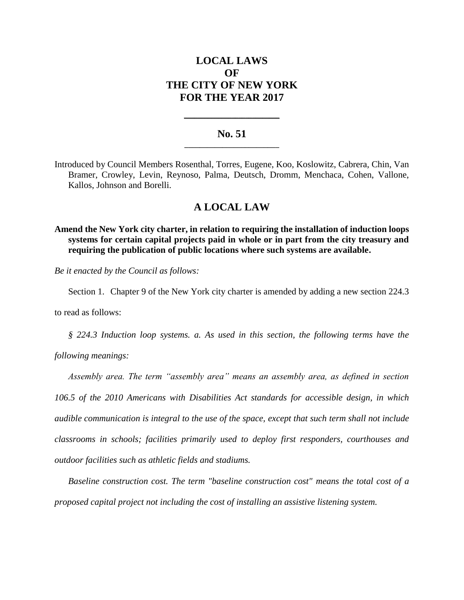# **LOCAL LAWS OF THE CITY OF NEW YORK FOR THE YEAR 2017**

## **No. 51 \_\_\_\_\_\_\_\_\_\_\_\_\_\_\_\_\_\_\_\_\_\_\_\_\_**

**\_\_\_\_\_\_\_\_\_\_\_\_\_\_\_\_\_\_\_\_\_\_\_\_\_\_\_\_**

Introduced by Council Members Rosenthal, Torres, Eugene, Koo, Koslowitz, Cabrera, Chin, Van Bramer, Crowley, Levin, Reynoso, Palma, Deutsch, Dromm, Menchaca, Cohen, Vallone, Kallos, Johnson and Borelli.

## **A LOCAL LAW**

**Amend the New York city charter, in relation to requiring the installation of induction loops systems for certain capital projects paid in whole or in part from the city treasury and requiring the publication of public locations where such systems are available.**

*Be it enacted by the Council as follows:*

Section 1. Chapter 9 of the New York city charter is amended by adding a new section 224.3

to read as follows:

*§ 224.3 Induction loop systems. a. As used in this section, the following terms have the* 

*following meanings:*

*Assembly area. The term "assembly area" means an assembly area, as defined in section* 

*106.5 of the 2010 Americans with Disabilities Act standards for accessible design, in which audible communication is integral to the use of the space, except that such term shall not include classrooms in schools; facilities primarily used to deploy first responders, courthouses and outdoor facilities such as athletic fields and stadiums.*

*Baseline construction cost. The term "baseline construction cost" means the total cost of a proposed capital project not including the cost of installing an assistive listening system.*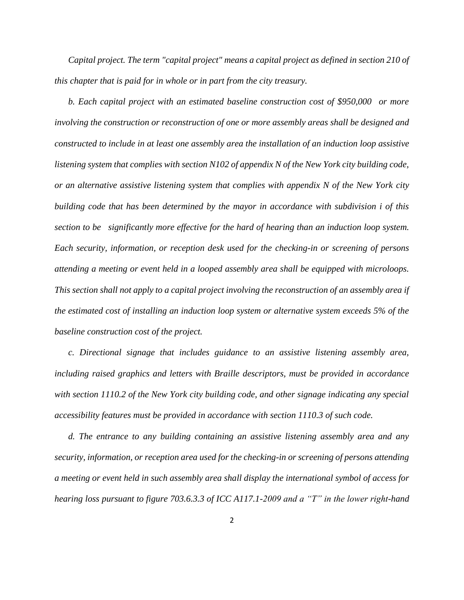*Capital project. The term "capital project" means a capital project as defined in section 210 of this chapter that is paid for in whole or in part from the city treasury.*

*b. Each capital project with an estimated baseline construction cost of \$950,000 or more involving the construction or reconstruction of one or more assembly areas shall be designed and constructed to include in at least one assembly area the installation of an induction loop assistive listening system that complies with section N102 of appendix N of the New York city building code, or an alternative assistive listening system that complies with appendix N of the New York city building code that has been determined by the mayor in accordance with subdivision i of this section to be significantly more effective for the hard of hearing than an induction loop system. Each security, information, or reception desk used for the checking-in or screening of persons attending a meeting or event held in a looped assembly area shall be equipped with microloops. This section shall not apply to a capital project involving the reconstruction of an assembly area if the estimated cost of installing an induction loop system or alternative system exceeds 5% of the baseline construction cost of the project.*

*c. Directional signage that includes guidance to an assistive listening assembly area, including raised graphics and letters with Braille descriptors, must be provided in accordance with section 1110.2 of the New York city building code, and other signage indicating any special accessibility features must be provided in accordance with section 1110.3 of such code.* 

*d. The entrance to any building containing an assistive listening assembly area and any security, information, or reception area used for the checking-in or screening of persons attending a meeting or event held in such assembly area shall display the international symbol of access for hearing loss pursuant to figure 703.6.3.3 of ICC A117.1-2009 and a "T" in the lower right-hand*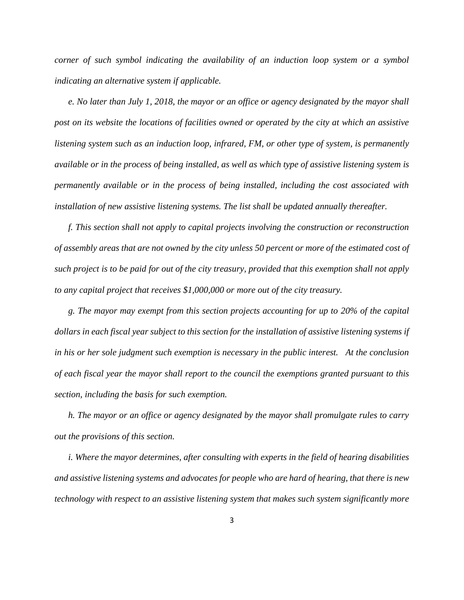*corner of such symbol indicating the availability of an induction loop system or a symbol indicating an alternative system if applicable.*

*e. No later than July 1, 2018, the mayor or an office or agency designated by the mayor shall post on its website the locations of facilities owned or operated by the city at which an assistive listening system such as an induction loop, infrared, FM, or other type of system, is permanently available or in the process of being installed, as well as which type of assistive listening system is permanently available or in the process of being installed, including the cost associated with installation of new assistive listening systems. The list shall be updated annually thereafter.*

*f. This section shall not apply to capital projects involving the construction or reconstruction of assembly areas that are not owned by the city unless 50 percent or more of the estimated cost of such project is to be paid for out of the city treasury, provided that this exemption shall not apply to any capital project that receives \$1,000,000 or more out of the city treasury.*

*g. The mayor may exempt from this section projects accounting for up to 20% of the capital dollars in each fiscal year subject to this section for the installation of assistive listening systems if in his or her sole judgment such exemption is necessary in the public interest. At the conclusion of each fiscal year the mayor shall report to the council the exemptions granted pursuant to this section, including the basis for such exemption.*

*h. The mayor or an office or agency designated by the mayor shall promulgate rules to carry out the provisions of this section.*

*i. Where the mayor determines, after consulting with experts in the field of hearing disabilities and assistive listening systems and advocates for people who are hard of hearing, that there is new technology with respect to an assistive listening system that makes such system significantly more*